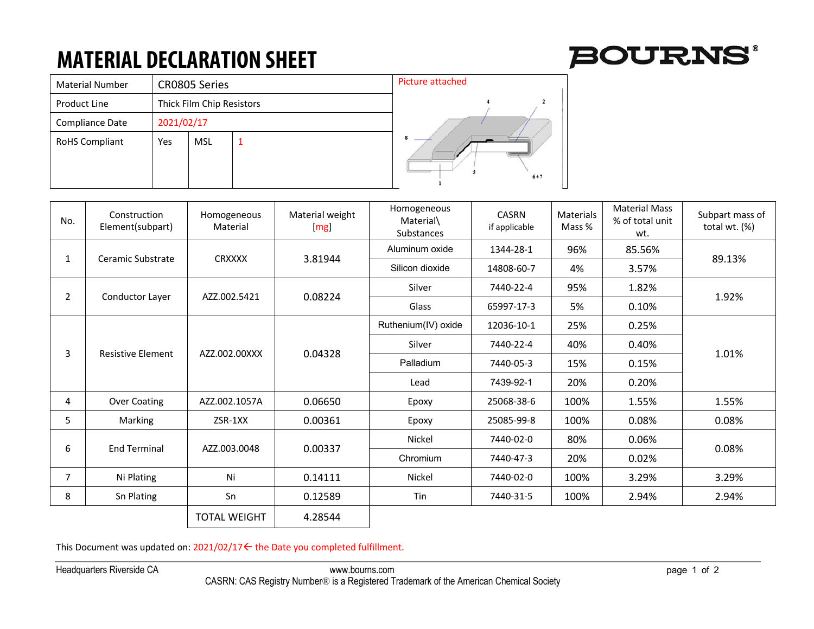## **MATERIAL DECLARATION SHEET**

 $\overline{2}$ 

 $6 + 7$ 

| <b>Material Number</b> |            | <b>CR0805 Series</b>      | <b>Picture attached</b> |  |  |
|------------------------|------------|---------------------------|-------------------------|--|--|
| <b>Product Line</b>    |            | Thick Film Chip Resistors |                         |  |  |
| Compliance Date        | 2021/02/17 |                           |                         |  |  |
| <b>RoHS Compliant</b>  | Yes        | <b>MSL</b>                | ═                       |  |  |
|                        |            |                           |                         |  |  |
|                        |            |                           |                         |  |  |

| No.            | Construction<br>Element(subpart) | Homogeneous<br>Material | Material weight<br>[mg] | Homogeneous<br>Material\<br>Substances | <b>CASRN</b><br>if applicable | Materials<br>Mass % | <b>Material Mass</b><br>% of total unit<br>wt. | Subpart mass of<br>total wt. $(\%)$ |
|----------------|----------------------------------|-------------------------|-------------------------|----------------------------------------|-------------------------------|---------------------|------------------------------------------------|-------------------------------------|
| 1              | Ceramic Substrate                | <b>CRXXXX</b>           | 3.81944                 | Aluminum oxide                         | 1344-28-1                     | 96%                 | 85.56%                                         | 89.13%                              |
|                |                                  |                         |                         | Silicon dioxide                        | 14808-60-7                    | 4%                  | 3.57%                                          |                                     |
| $\overline{2}$ | Conductor Layer                  | AZZ.002.5421            | 0.08224                 | Silver                                 | 7440-22-4                     | 95%                 | 1.82%                                          | 1.92%                               |
|                |                                  |                         |                         | Glass                                  | 65997-17-3                    | 5%                  | 0.10%                                          |                                     |
| 3              | <b>Resistive Element</b>         | AZZ.002.00XXX           | 0.04328                 | Ruthenium(IV) oxide                    | 12036-10-1                    | 25%                 | 0.25%                                          | 1.01%                               |
|                |                                  |                         |                         | Silver                                 | 7440-22-4                     | 40%                 | 0.40%                                          |                                     |
|                |                                  |                         |                         | Palladium                              | 7440-05-3                     | 15%                 | 0.15%                                          |                                     |
|                |                                  |                         |                         | Lead                                   | 7439-92-1                     | 20%                 | 0.20%                                          |                                     |
| 4              | Over Coating                     | AZZ.002.1057A           | 0.06650                 | Epoxy                                  | 25068-38-6                    | 100%                | 1.55%                                          | 1.55%                               |
| 5              | Marking                          | ZSR-1XX                 | 0.00361                 | Epoxy                                  | 25085-99-8                    | 100%                | 0.08%                                          | 0.08%                               |
| 6              | <b>End Terminal</b>              | AZZ.003.0048            | 0.00337                 | Nickel                                 | 7440-02-0                     | 80%                 | 0.06%                                          | 0.08%                               |
|                |                                  |                         |                         | Chromium                               | 7440-47-3                     | 20%                 | 0.02%                                          |                                     |
| $\overline{7}$ | Ni Plating                       | Ni                      | 0.14111                 | Nickel                                 | 7440-02-0                     | 100%                | 3.29%                                          | 3.29%                               |
| 8              | Sn Plating                       | Sn                      | 0.12589                 | Tin                                    | 7440-31-5                     | 100%                | 2.94%                                          | 2.94%                               |
|                |                                  | <b>TOTAL WEIGHT</b>     | 4.28544                 |                                        |                               |                     |                                                |                                     |

This Document was updated on:  $2021/02/17 \leftarrow$  the Date you completed fulfillment.